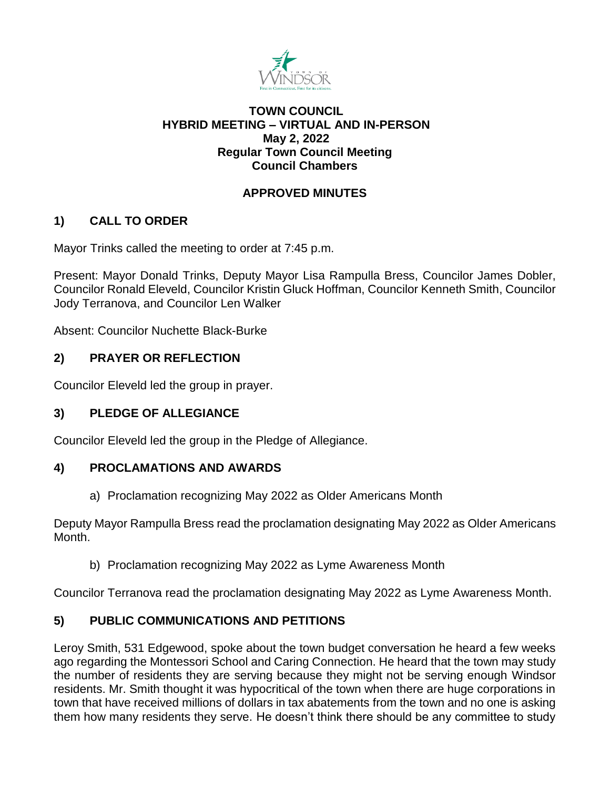

## **TOWN COUNCIL HYBRID MEETING – VIRTUAL AND IN-PERSON May 2, 2022 Regular Town Council Meeting Council Chambers**

# **APPROVED MINUTES**

# **1) CALL TO ORDER**

Mayor Trinks called the meeting to order at 7:45 p.m.

Present: Mayor Donald Trinks, Deputy Mayor Lisa Rampulla Bress, Councilor James Dobler, Councilor Ronald Eleveld, Councilor Kristin Gluck Hoffman, Councilor Kenneth Smith, Councilor Jody Terranova, and Councilor Len Walker

Absent: Councilor Nuchette Black-Burke

# **2) PRAYER OR REFLECTION**

Councilor Eleveld led the group in prayer.

# **3) PLEDGE OF ALLEGIANCE**

Councilor Eleveld led the group in the Pledge of Allegiance.

## **4) PROCLAMATIONS AND AWARDS**

a) Proclamation recognizing May 2022 as Older Americans Month

Deputy Mayor Rampulla Bress read the proclamation designating May 2022 as Older Americans Month.

b) Proclamation recognizing May 2022 as Lyme Awareness Month

Councilor Terranova read the proclamation designating May 2022 as Lyme Awareness Month.

# **5) PUBLIC COMMUNICATIONS AND PETITIONS**

Leroy Smith, 531 Edgewood, spoke about the town budget conversation he heard a few weeks ago regarding the Montessori School and Caring Connection. He heard that the town may study the number of residents they are serving because they might not be serving enough Windsor residents. Mr. Smith thought it was hypocritical of the town when there are huge corporations in town that have received millions of dollars in tax abatements from the town and no one is asking them how many residents they serve. He doesn't think there should be any committee to study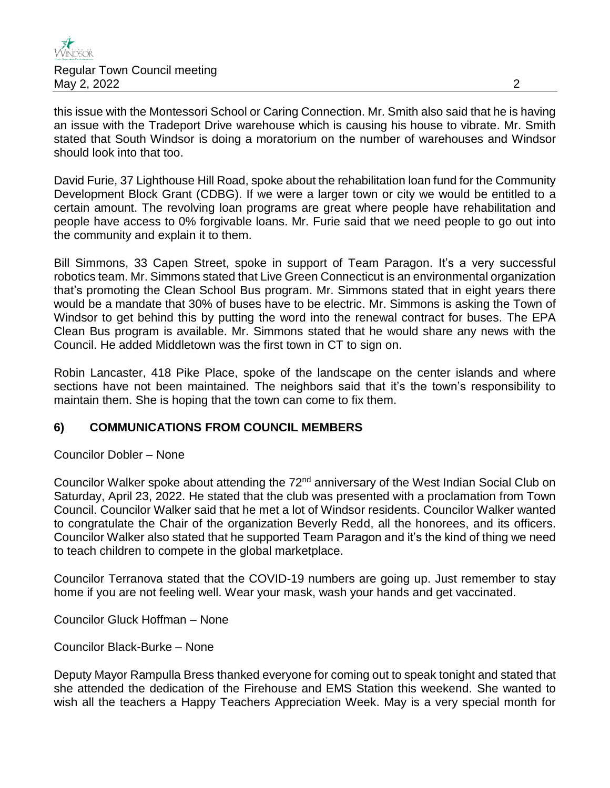

this issue with the Montessori School or Caring Connection. Mr. Smith also said that he is having an issue with the Tradeport Drive warehouse which is causing his house to vibrate. Mr. Smith stated that South Windsor is doing a moratorium on the number of warehouses and Windsor should look into that too.

David Furie, 37 Lighthouse Hill Road, spoke about the rehabilitation loan fund for the Community Development Block Grant (CDBG). If we were a larger town or city we would be entitled to a certain amount. The revolving loan programs are great where people have rehabilitation and people have access to 0% forgivable loans. Mr. Furie said that we need people to go out into the community and explain it to them.

Bill Simmons, 33 Capen Street, spoke in support of Team Paragon. It's a very successful robotics team. Mr. Simmons stated that Live Green Connecticut is an environmental organization that's promoting the Clean School Bus program. Mr. Simmons stated that in eight years there would be a mandate that 30% of buses have to be electric. Mr. Simmons is asking the Town of Windsor to get behind this by putting the word into the renewal contract for buses. The EPA Clean Bus program is available. Mr. Simmons stated that he would share any news with the Council. He added Middletown was the first town in CT to sign on.

Robin Lancaster, 418 Pike Place, spoke of the landscape on the center islands and where sections have not been maintained. The neighbors said that it's the town's responsibility to maintain them. She is hoping that the town can come to fix them.

### **6) COMMUNICATIONS FROM COUNCIL MEMBERS**

Councilor Dobler – None

Councilor Walker spoke about attending the 72<sup>nd</sup> anniversary of the West Indian Social Club on Saturday, April 23, 2022. He stated that the club was presented with a proclamation from Town Council. Councilor Walker said that he met a lot of Windsor residents. Councilor Walker wanted to congratulate the Chair of the organization Beverly Redd, all the honorees, and its officers. Councilor Walker also stated that he supported Team Paragon and it's the kind of thing we need to teach children to compete in the global marketplace.

Councilor Terranova stated that the COVID-19 numbers are going up. Just remember to stay home if you are not feeling well. Wear your mask, wash your hands and get vaccinated.

Councilor Gluck Hoffman – None

Councilor Black-Burke – None

Deputy Mayor Rampulla Bress thanked everyone for coming out to speak tonight and stated that she attended the dedication of the Firehouse and EMS Station this weekend. She wanted to wish all the teachers a Happy Teachers Appreciation Week. May is a very special month for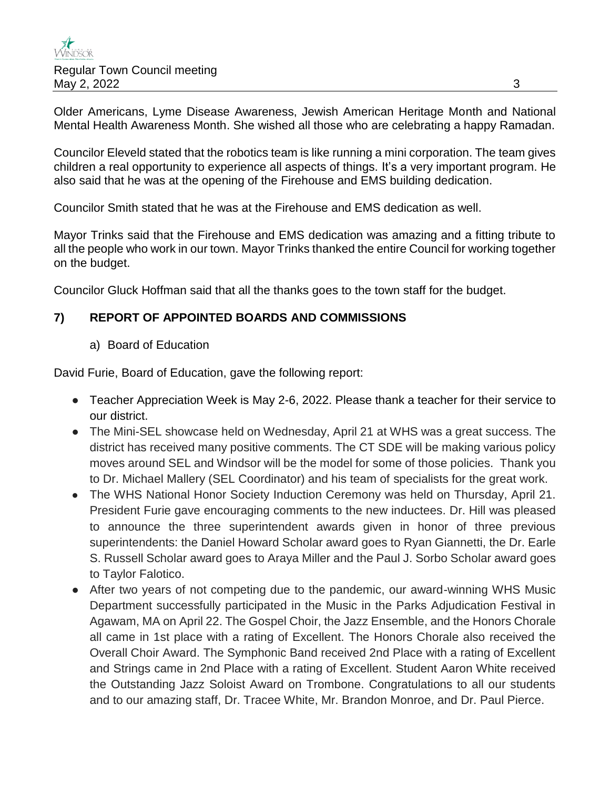Older Americans, Lyme Disease Awareness, Jewish American Heritage Month and National Mental Health Awareness Month. She wished all those who are celebrating a happy Ramadan.

Councilor Eleveld stated that the robotics team is like running a mini corporation. The team gives children a real opportunity to experience all aspects of things. It's a very important program. He also said that he was at the opening of the Firehouse and EMS building dedication.

Councilor Smith stated that he was at the Firehouse and EMS dedication as well.

Mayor Trinks said that the Firehouse and EMS dedication was amazing and a fitting tribute to all the people who work in our town. Mayor Trinks thanked the entire Council for working together on the budget.

Councilor Gluck Hoffman said that all the thanks goes to the town staff for the budget.

# **7) REPORT OF APPOINTED BOARDS AND COMMISSIONS**

a) Board of Education

David Furie, Board of Education, gave the following report:

- Teacher Appreciation Week is May 2-6, 2022. Please thank a teacher for their service to our district.
- The Mini-SEL showcase held on Wednesday, April 21 at WHS was a great success. The district has received many positive comments. The CT SDE will be making various policy moves around SEL and Windsor will be the model for some of those policies. Thank you to Dr. Michael Mallery (SEL Coordinator) and his team of specialists for the great work.
- The WHS National Honor Society Induction Ceremony was held on Thursday, April 21. President Furie gave encouraging comments to the new inductees. Dr. Hill was pleased to announce the three superintendent awards given in honor of three previous superintendents: the Daniel Howard Scholar award goes to Ryan Giannetti, the Dr. Earle S. Russell Scholar award goes to Araya Miller and the Paul J. Sorbo Scholar award goes to Taylor Falotico.
- After two years of not competing due to the pandemic, our award-winning WHS Music Department successfully participated in the Music in the Parks Adjudication Festival in Agawam, MA on April 22. The Gospel Choir, the Jazz Ensemble, and the Honors Chorale all came in 1st place with a rating of Excellent. The Honors Chorale also received the Overall Choir Award. The Symphonic Band received 2nd Place with a rating of Excellent and Strings came in 2nd Place with a rating of Excellent. Student Aaron White received the Outstanding Jazz Soloist Award on Trombone. Congratulations to all our students and to our amazing staff, Dr. Tracee White, Mr. Brandon Monroe, and Dr. Paul Pierce.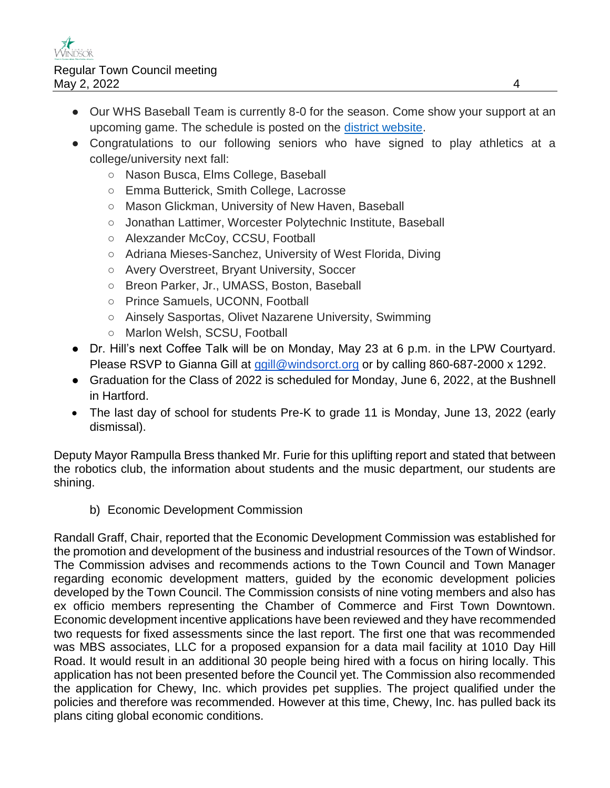- Our WHS Baseball Team is currently 8-0 for the season. Come show your support at an upcoming game. The schedule is posted on the [district website.](https://www.windsorct.org/o/athletics)
- Congratulations to our following seniors who have signed to play athletics at a college/university next fall:
	- Nason Busca, Elms College, Baseball
	- Emma Butterick, Smith College, Lacrosse
	- Mason Glickman, University of New Haven, Baseball
	- Jonathan Lattimer, Worcester Polytechnic Institute, Baseball
	- Alexzander McCoy, CCSU, Football
	- Adriana Mieses-Sanchez, University of West Florida, Diving
	- Avery Overstreet, Bryant University, Soccer
	- Breon Parker, Jr., UMASS, Boston, Baseball
	- Prince Samuels, UCONN, Football
	- Ainsely Sasportas, Olivet Nazarene University, Swimming
	- Marlon Welsh, SCSU, Football
- Dr. Hill's next Coffee Talk will be on Monday, May 23 at 6 p.m. in the LPW Courtyard. Please RSVP to Gianna Gill at [ggill@windsorct.org](mailto:ggill@windsorct.org) or by calling 860-687-2000 x 1292.
- Graduation for the Class of 2022 is scheduled for Monday, June 6, 2022, at the Bushnell in Hartford.
- The last day of school for students Pre-K to grade 11 is Monday, June 13, 2022 (early dismissal).

Deputy Mayor Rampulla Bress thanked Mr. Furie for this uplifting report and stated that between the robotics club, the information about students and the music department, our students are shining.

b) Economic Development Commission

Randall Graff, Chair, reported that the Economic Development Commission was established for the promotion and development of the business and industrial resources of the Town of Windsor. The Commission advises and recommends actions to the Town Council and Town Manager regarding economic development matters, guided by the economic development policies developed by the Town Council. The Commission consists of nine voting members and also has ex officio members representing the Chamber of Commerce and First Town Downtown. Economic development incentive applications have been reviewed and they have recommended two requests for fixed assessments since the last report. The first one that was recommended was MBS associates, LLC for a proposed expansion for a data mail facility at 1010 Day Hill Road. It would result in an additional 30 people being hired with a focus on hiring locally. This application has not been presented before the Council yet. The Commission also recommended the application for Chewy, Inc. which provides pet supplies. The project qualified under the policies and therefore was recommended. However at this time, Chewy, Inc. has pulled back its plans citing global economic conditions.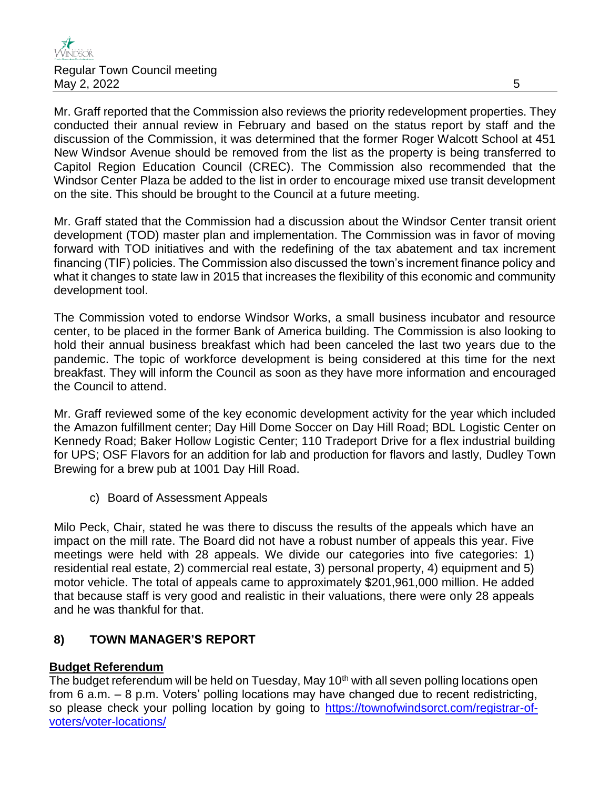Mr. Graff reported that the Commission also reviews the priority redevelopment properties. They conducted their annual review in February and based on the status report by staff and the discussion of the Commission, it was determined that the former Roger Walcott School at 451 New Windsor Avenue should be removed from the list as the property is being transferred to Capitol Region Education Council (CREC). The Commission also recommended that the Windsor Center Plaza be added to the list in order to encourage mixed use transit development on the site. This should be brought to the Council at a future meeting.

Mr. Graff stated that the Commission had a discussion about the Windsor Center transit orient development (TOD) master plan and implementation. The Commission was in favor of moving forward with TOD initiatives and with the redefining of the tax abatement and tax increment financing (TIF) policies. The Commission also discussed the town's increment finance policy and what it changes to state law in 2015 that increases the flexibility of this economic and community development tool.

The Commission voted to endorse Windsor Works, a small business incubator and resource center, to be placed in the former Bank of America building. The Commission is also looking to hold their annual business breakfast which had been canceled the last two years due to the pandemic. The topic of workforce development is being considered at this time for the next breakfast. They will inform the Council as soon as they have more information and encouraged the Council to attend.

Mr. Graff reviewed some of the key economic development activity for the year which included the Amazon fulfillment center; Day Hill Dome Soccer on Day Hill Road; BDL Logistic Center on Kennedy Road; Baker Hollow Logistic Center; 110 Tradeport Drive for a flex industrial building for UPS; OSF Flavors for an addition for lab and production for flavors and lastly, Dudley Town Brewing for a brew pub at 1001 Day Hill Road.

c) Board of Assessment Appeals

Milo Peck, Chair, stated he was there to discuss the results of the appeals which have an impact on the mill rate. The Board did not have a robust number of appeals this year. Five meetings were held with 28 appeals. We divide our categories into five categories: 1) residential real estate, 2) commercial real estate, 3) personal property, 4) equipment and 5) motor vehicle. The total of appeals came to approximately \$201,961,000 million. He added that because staff is very good and realistic in their valuations, there were only 28 appeals and he was thankful for that.

## **8) TOWN MANAGER'S REPORT**

## **Budget Referendum**

The budget referendum will be held on Tuesday, May 10<sup>th</sup> with all seven polling locations open from 6 a.m. – 8 p.m. Voters' polling locations may have changed due to recent redistricting, so please check your polling location by going to [https://townofwindsorct.com/registrar-of](https://townofwindsorct.com/registrar-of-voters/voter-locations/)[voters/voter-locations/](https://townofwindsorct.com/registrar-of-voters/voter-locations/)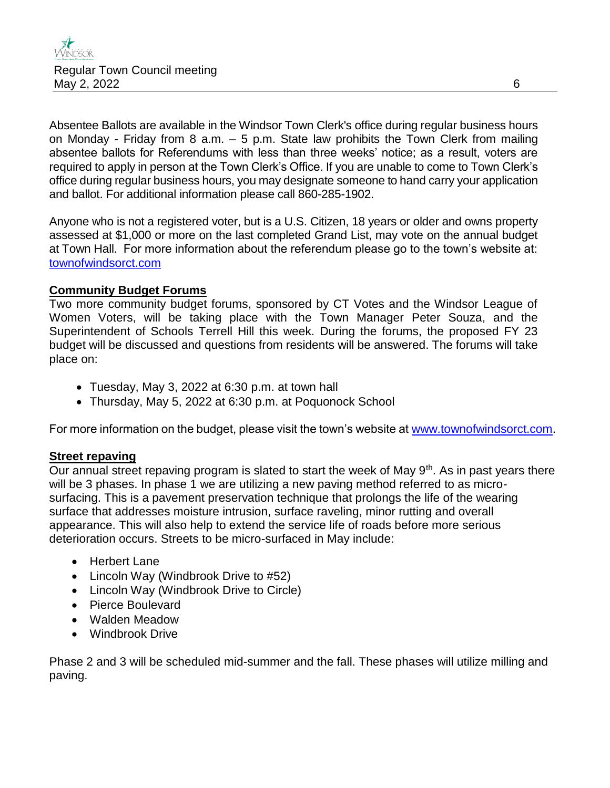Absentee Ballots are available in the Windsor Town Clerk's office during regular business hours on Monday - Friday from 8 a.m.  $-5$  p.m. State law prohibits the Town Clerk from mailing absentee ballots for Referendums with less than three weeks' notice; as a result, voters are required to apply in person at the Town Clerk's Office. If you are unable to come to Town Clerk's office during regular business hours, you may designate someone to hand carry your application and ballot. For additional information please call 860-285-1902.

Anyone who is not a registered voter, but is a U.S. Citizen, 18 years or older and owns property assessed at \$1,000 or more on the last completed Grand List, may vote on the annual budget at Town Hall. For more information about the referendum please go to the town's website at: [townofwindsorct.com](https://townofwindsorct.com/)

### **Community Budget Forums**

Two more community budget forums, sponsored by CT Votes and the Windsor League of Women Voters, will be taking place with the Town Manager Peter Souza, and the Superintendent of Schools Terrell Hill this week. During the forums, the proposed FY 23 budget will be discussed and questions from residents will be answered. The forums will take place on:

- Tuesday, May 3, 2022 at 6:30 p.m. at town hall
- Thursday, May 5, 2022 at 6:30 p.m. at Poquonock School

For more information on the budget, please visit the town's website at [www.townofwindsorct.com.](http://www.townofwindsorct.com/)

#### **Street repaving**

Our annual street repaving program is slated to start the week of May  $9<sup>th</sup>$ . As in past years there will be 3 phases. In phase 1 we are utilizing a new paving method referred to as microsurfacing. This is a pavement preservation technique that prolongs the life of the wearing surface that addresses moisture intrusion, surface raveling, minor rutting and overall appearance. This will also help to extend the service life of roads before more serious deterioration occurs. Streets to be micro-surfaced in May include:

- Herbert Lane
- Lincoln Way (Windbrook Drive to #52)
- Lincoln Way (Windbrook Drive to Circle)
- Pierce Boulevard
- Walden Meadow
- Windbrook Drive

Phase 2 and 3 will be scheduled mid-summer and the fall. These phases will utilize milling and paving.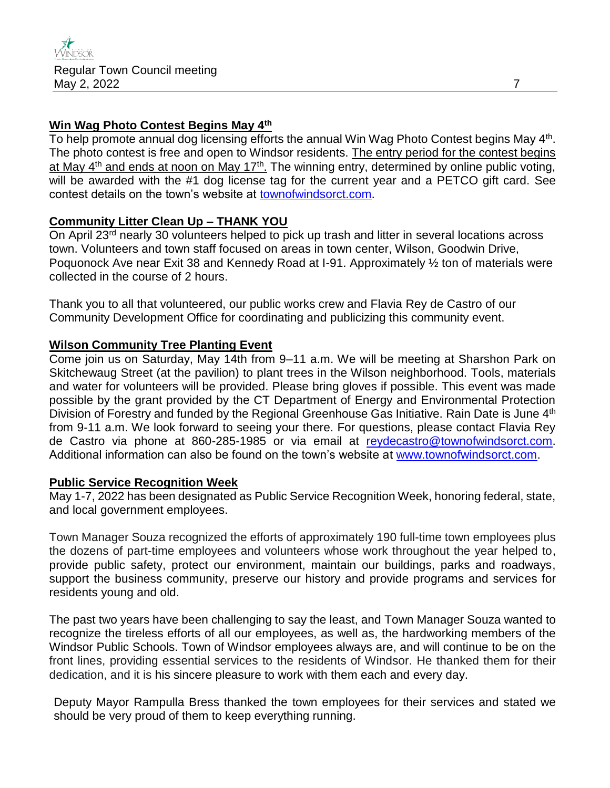### **Win Wag Photo Contest Begins May 4th**

To help promote annual dog licensing efforts the annual Win Wag Photo Contest begins May 4<sup>th</sup>. The photo contest is free and open to Windsor residents. The entry period for the contest begins at May 4<sup>th</sup> and ends at noon on May 17<sup>th</sup>. The winning entry, determined by online public voting, will be awarded with the #1 dog license tag for the current year and a PETCO gift card. See contest details on the town's website at [townofwindsorct.com.](http://www.townofwindsorct.com/)

#### **Community Litter Clean Up – THANK YOU**

On April 23<sup>rd</sup> nearly 30 volunteers helped to pick up trash and litter in several locations across town. Volunteers and town staff focused on areas in town center, Wilson, Goodwin Drive, Poquonock Ave near Exit 38 and Kennedy Road at I-91. Approximately ½ ton of materials were collected in the course of 2 hours.

Thank you to all that volunteered, our public works crew and Flavia Rey de Castro of our Community Development Office for coordinating and publicizing this community event.

### **Wilson Community Tree Planting Event**

Come join us on Saturday, May 14th from 9–11 a.m. We will be meeting at Sharshon Park on Skitchewaug Street (at the pavilion) to plant trees in the Wilson neighborhood. Tools, materials and water for volunteers will be provided. Please bring gloves if possible. This event was made possible by the grant provided by the CT Department of Energy and Environmental Protection Division of Forestry and funded by the Regional Greenhouse Gas Initiative. Rain Date is June 4<sup>th</sup> from 9-11 a.m. We look forward to seeing your there. For questions, please contact Flavia Rey de Castro via phone at 860-285-1985 or via email at [reydecastro@townofwindsorct.com.](mailto:reydecastro@townofwindsorct.com) Additional information can also be found on the town's website at [www.townofwindsorct.com.](http://www.townofwindsorct.com/)

#### **Public Service Recognition Week**

May 1-7, 2022 has been designated as Public Service Recognition Week, honoring federal, state, and local government employees.

Town Manager Souza recognized the efforts of approximately 190 full-time town employees plus the dozens of part-time employees and volunteers whose work throughout the year helped to, provide public safety, protect our environment, maintain our buildings, parks and roadways, support the business community, preserve our history and provide programs and services for residents young and old.

The past two years have been challenging to say the least, and Town Manager Souza wanted to recognize the tireless efforts of all our employees, as well as, the hardworking members of the Windsor Public Schools. Town of Windsor employees always are, and will continue to be on the front lines, providing essential services to the residents of Windsor. He thanked them for their dedication, and it is his sincere pleasure to work with them each and every day.

Deputy Mayor Rampulla Bress thanked the town employees for their services and stated we should be very proud of them to keep everything running.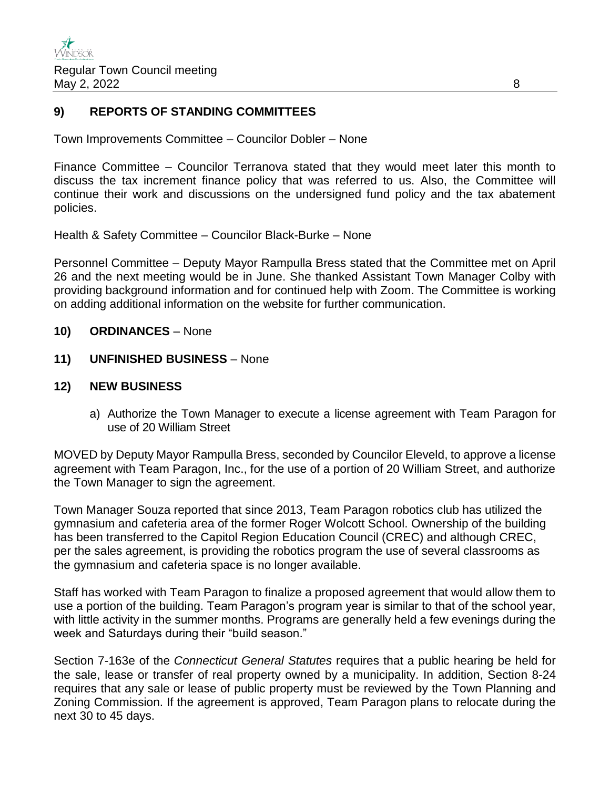#### **9) REPORTS OF STANDING COMMITTEES**

Town Improvements Committee – Councilor Dobler – None

Finance Committee – Councilor Terranova stated that they would meet later this month to discuss the tax increment finance policy that was referred to us. Also, the Committee will continue their work and discussions on the undersigned fund policy and the tax abatement policies.

Health & Safety Committee – Councilor Black-Burke – None

Personnel Committee – Deputy Mayor Rampulla Bress stated that the Committee met on April 26 and the next meeting would be in June. She thanked Assistant Town Manager Colby with providing background information and for continued help with Zoom. The Committee is working on adding additional information on the website for further communication.

- **10) ORDINANCES** None
- **11) UNFINISHED BUSINESS** None

#### **12) NEW BUSINESS**

a) Authorize the Town Manager to execute a license agreement with Team Paragon for use of 20 William Street

MOVED by Deputy Mayor Rampulla Bress, seconded by Councilor Eleveld, to approve a license agreement with Team Paragon, Inc., for the use of a portion of 20 William Street, and authorize the Town Manager to sign the agreement.

Town Manager Souza reported that since 2013, Team Paragon robotics club has utilized the gymnasium and cafeteria area of the former Roger Wolcott School. Ownership of the building has been transferred to the Capitol Region Education Council (CREC) and although CREC, per the sales agreement, is providing the robotics program the use of several classrooms as the gymnasium and cafeteria space is no longer available.

Staff has worked with Team Paragon to finalize a proposed agreement that would allow them to use a portion of the building. Team Paragon's program year is similar to that of the school year, with little activity in the summer months. Programs are generally held a few evenings during the week and Saturdays during their "build season."

Section 7-163e of the *Connecticut General Statutes* requires that a public hearing be held for the sale, lease or transfer of real property owned by a municipality. In addition, Section 8-24 requires that any sale or lease of public property must be reviewed by the Town Planning and Zoning Commission. If the agreement is approved, Team Paragon plans to relocate during the next 30 to 45 days.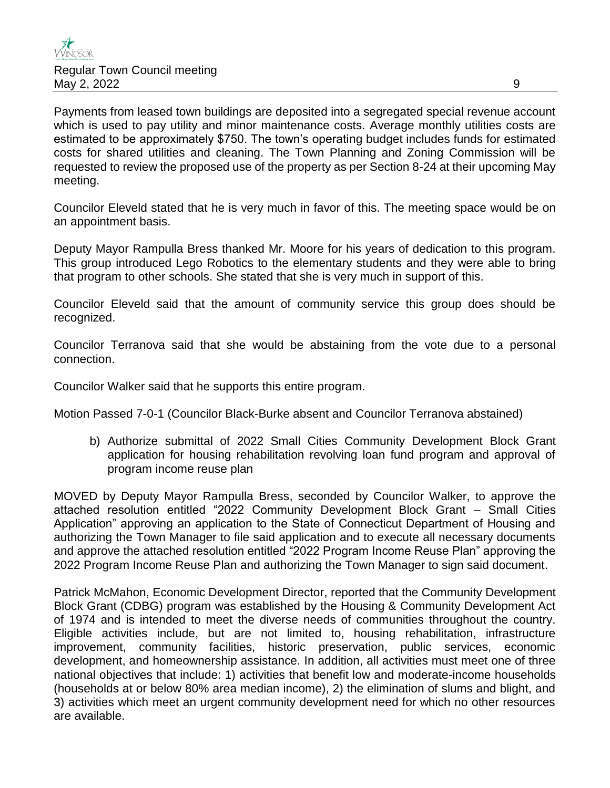Payments from leased town buildings are deposited into a segregated special revenue account which is used to pay utility and minor maintenance costs. Average monthly utilities costs are estimated to be approximately \$750. The town's operating budget includes funds for estimated costs for shared utilities and cleaning. The Town Planning and Zoning Commission will be requested to review the proposed use of the property as per Section 8-24 at their upcoming May meeting.

Councilor Eleveld stated that he is very much in favor of this. The meeting space would be on an appointment basis.

Deputy Mayor Rampulla Bress thanked Mr. Moore for his years of dedication to this program. This group introduced Lego Robotics to the elementary students and they were able to bring that program to other schools. She stated that she is very much in support of this.

Councilor Eleveld said that the amount of community service this group does should be recognized.

Councilor Terranova said that she would be abstaining from the vote due to a personal connection.

Councilor Walker said that he supports this entire program.

Motion Passed 7-0-1 (Councilor Black-Burke absent and Councilor Terranova abstained)

b) Authorize submittal of 2022 Small Cities Community Development Block Grant application for housing rehabilitation revolving loan fund program and approval of program income reuse plan

MOVED by Deputy Mayor Rampulla Bress, seconded by Councilor Walker, to approve the attached resolution entitled "2022 Community Development Block Grant – Small Cities Application" approving an application to the State of Connecticut Department of Housing and authorizing the Town Manager to file said application and to execute all necessary documents and approve the attached resolution entitled "2022 Program Income Reuse Plan" approving the 2022 Program Income Reuse Plan and authorizing the Town Manager to sign said document.

Patrick McMahon, Economic Development Director, reported that the Community Development Block Grant (CDBG) program was established by the Housing & Community Development Act of 1974 and is intended to meet the diverse needs of communities throughout the country. Eligible activities include, but are not limited to, housing rehabilitation, infrastructure improvement, community facilities, historic preservation, public services, economic development, and homeownership assistance. In addition, all activities must meet one of three national objectives that include: 1) activities that benefit low and moderate-income households (households at or below 80% area median income), 2) the elimination of slums and blight, and 3) activities which meet an urgent community development need for which no other resources are available.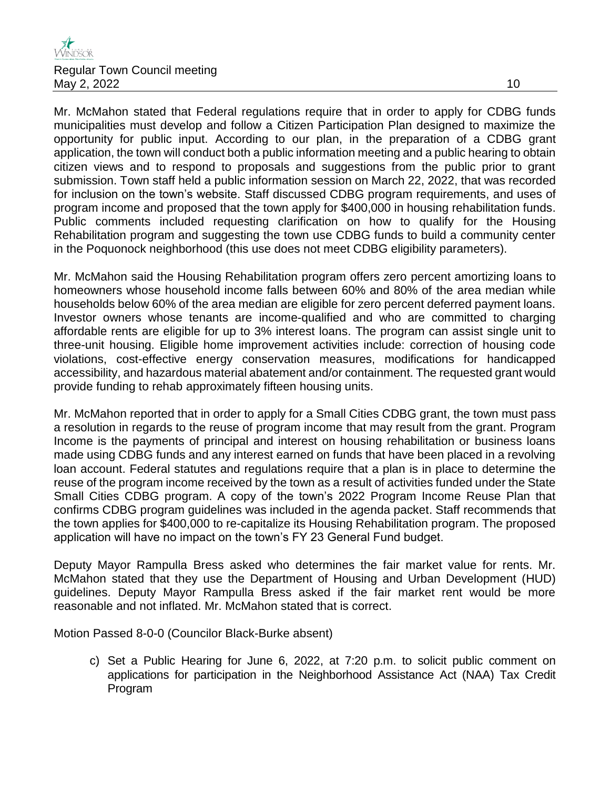

Mr. McMahon stated that Federal regulations require that in order to apply for CDBG funds municipalities must develop and follow a Citizen Participation Plan designed to maximize the opportunity for public input. According to our plan, in the preparation of a CDBG grant application, the town will conduct both a public information meeting and a public hearing to obtain citizen views and to respond to proposals and suggestions from the public prior to grant submission. Town staff held a public information session on March 22, 2022, that was recorded for inclusion on the town's website. Staff discussed CDBG program requirements, and uses of program income and proposed that the town apply for \$400,000 in housing rehabilitation funds. Public comments included requesting clarification on how to qualify for the Housing Rehabilitation program and suggesting the town use CDBG funds to build a community center in the Poquonock neighborhood (this use does not meet CDBG eligibility parameters).

Mr. McMahon said the Housing Rehabilitation program offers zero percent amortizing loans to homeowners whose household income falls between 60% and 80% of the area median while households below 60% of the area median are eligible for zero percent deferred payment loans. Investor owners whose tenants are income-qualified and who are committed to charging affordable rents are eligible for up to 3% interest loans. The program can assist single unit to three-unit housing. Eligible home improvement activities include: correction of housing code violations, cost-effective energy conservation measures, modifications for handicapped accessibility, and hazardous material abatement and/or containment. The requested grant would provide funding to rehab approximately fifteen housing units.

Mr. McMahon reported that in order to apply for a Small Cities CDBG grant, the town must pass a resolution in regards to the reuse of program income that may result from the grant. Program Income is the payments of principal and interest on housing rehabilitation or business loans made using CDBG funds and any interest earned on funds that have been placed in a revolving loan account. Federal statutes and regulations require that a plan is in place to determine the reuse of the program income received by the town as a result of activities funded under the State Small Cities CDBG program. A copy of the town's 2022 Program Income Reuse Plan that confirms CDBG program guidelines was included in the agenda packet. Staff recommends that the town applies for \$400,000 to re-capitalize its Housing Rehabilitation program. The proposed application will have no impact on the town's FY 23 General Fund budget.

Deputy Mayor Rampulla Bress asked who determines the fair market value for rents. Mr. McMahon stated that they use the Department of Housing and Urban Development (HUD) guidelines. Deputy Mayor Rampulla Bress asked if the fair market rent would be more reasonable and not inflated. Mr. McMahon stated that is correct.

Motion Passed 8-0-0 (Councilor Black-Burke absent)

c) Set a Public Hearing for June 6, 2022, at 7:20 p.m. to solicit public comment on applications for participation in the Neighborhood Assistance Act (NAA) Tax Credit Program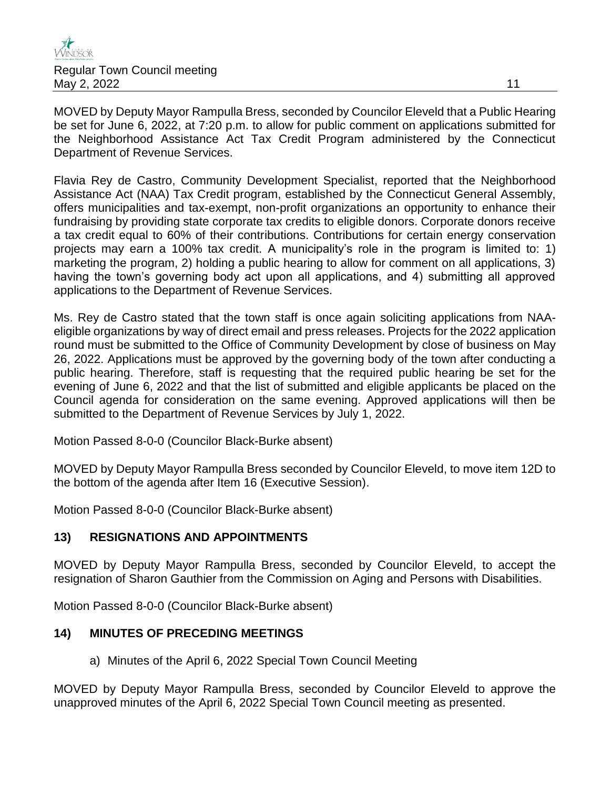

MOVED by Deputy Mayor Rampulla Bress, seconded by Councilor Eleveld that a Public Hearing be set for June 6, 2022, at 7:20 p.m. to allow for public comment on applications submitted for the Neighborhood Assistance Act Tax Credit Program administered by the Connecticut Department of Revenue Services.

Flavia Rey de Castro, Community Development Specialist, reported that the Neighborhood Assistance Act (NAA) Tax Credit program, established by the Connecticut General Assembly, offers municipalities and tax-exempt, non-profit organizations an opportunity to enhance their fundraising by providing state corporate tax credits to eligible donors. Corporate donors receive a tax credit equal to 60% of their contributions. Contributions for certain energy conservation projects may earn a 100% tax credit. A municipality's role in the program is limited to: 1) marketing the program, 2) holding a public hearing to allow for comment on all applications, 3) having the town's governing body act upon all applications, and 4) submitting all approved applications to the Department of Revenue Services.

Ms. Rey de Castro stated that the town staff is once again soliciting applications from NAAeligible organizations by way of direct email and press releases. Projects for the 2022 application round must be submitted to the Office of Community Development by close of business on May 26, 2022. Applications must be approved by the governing body of the town after conducting a public hearing. Therefore, staff is requesting that the required public hearing be set for the evening of June 6, 2022 and that the list of submitted and eligible applicants be placed on the Council agenda for consideration on the same evening. Approved applications will then be submitted to the Department of Revenue Services by July 1, 2022.

Motion Passed 8-0-0 (Councilor Black-Burke absent)

MOVED by Deputy Mayor Rampulla Bress seconded by Councilor Eleveld, to move item 12D to the bottom of the agenda after Item 16 (Executive Session).

Motion Passed 8-0-0 (Councilor Black-Burke absent)

## **13) RESIGNATIONS AND APPOINTMENTS**

MOVED by Deputy Mayor Rampulla Bress, seconded by Councilor Eleveld, to accept the resignation of Sharon Gauthier from the Commission on Aging and Persons with Disabilities.

Motion Passed 8-0-0 (Councilor Black-Burke absent)

#### **14) MINUTES OF PRECEDING MEETINGS**

a) Minutes of the April 6, 2022 Special Town Council Meeting

MOVED by Deputy Mayor Rampulla Bress, seconded by Councilor Eleveld to approve the unapproved minutes of the April 6, 2022 Special Town Council meeting as presented.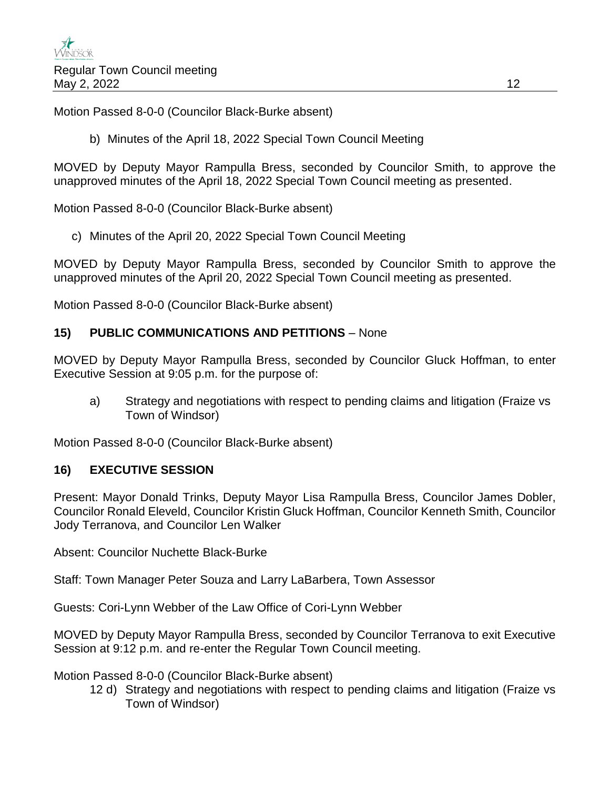Motion Passed 8-0-0 (Councilor Black-Burke absent)

b) Minutes of the April 18, 2022 Special Town Council Meeting

MOVED by Deputy Mayor Rampulla Bress, seconded by Councilor Smith, to approve the unapproved minutes of the April 18, 2022 Special Town Council meeting as presented.

Motion Passed 8-0-0 (Councilor Black-Burke absent)

c) Minutes of the April 20, 2022 Special Town Council Meeting

MOVED by Deputy Mayor Rampulla Bress, seconded by Councilor Smith to approve the unapproved minutes of the April 20, 2022 Special Town Council meeting as presented.

Motion Passed 8-0-0 (Councilor Black-Burke absent)

### **15) PUBLIC COMMUNICATIONS AND PETITIONS** – None

MOVED by Deputy Mayor Rampulla Bress, seconded by Councilor Gluck Hoffman, to enter Executive Session at 9:05 p.m. for the purpose of:

a) Strategy and negotiations with respect to pending claims and litigation (Fraize vs Town of Windsor)

Motion Passed 8-0-0 (Councilor Black-Burke absent)

#### **16) EXECUTIVE SESSION**

Present: Mayor Donald Trinks, Deputy Mayor Lisa Rampulla Bress, Councilor James Dobler, Councilor Ronald Eleveld, Councilor Kristin Gluck Hoffman, Councilor Kenneth Smith, Councilor Jody Terranova, and Councilor Len Walker

Absent: Councilor Nuchette Black-Burke

Staff: Town Manager Peter Souza and Larry LaBarbera, Town Assessor

Guests: Cori-Lynn Webber of the Law Office of Cori-Lynn Webber

MOVED by Deputy Mayor Rampulla Bress, seconded by Councilor Terranova to exit Executive Session at 9:12 p.m. and re-enter the Regular Town Council meeting.

Motion Passed 8-0-0 (Councilor Black-Burke absent)

12 d) Strategy and negotiations with respect to pending claims and litigation (Fraize vs Town of Windsor)